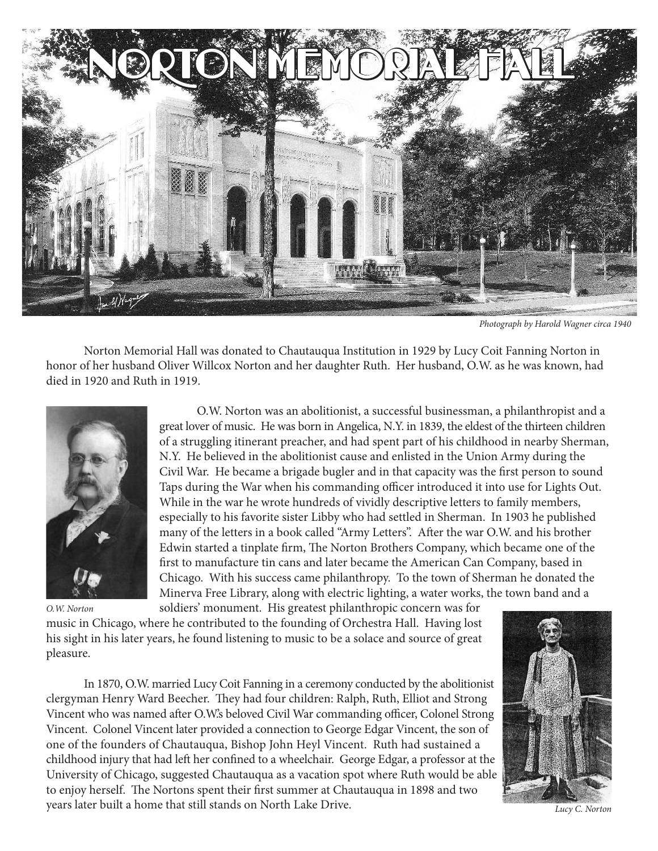

Photograph by Harold Wagner circa 1940

 Norton Memorial Hall was donated to Chautauqua Institution in 1929 by Lucy Coit Fanning Norton in honor of her husband Oliver Willcox Norton and her daughter Ruth. Her husband, O.W. as he was known, had died in 1920 and Ruth in 1919.



O.W. Norton

 O.W. Norton was an abolitionist, a successful businessman, a philanthropist and a great lover of music. He was born in Angelica, N.Y. in 1839, the eldest of the thirteen children of a struggling itinerant preacher, and had spent part of his childhood in nearby Sherman, N.Y. He believed in the abolitionist cause and enlisted in the Union Army during the Civil War. He became a brigade bugler and in that capacity was the first person to sound Taps during the War when his commanding officer introduced it into use for Lights Out. While in the war he wrote hundreds of vividly descriptive letters to family members, especially to his favorite sister Libby who had settled in Sherman. In 1903 he published many of the letters in a book called "Army Letters". After the war O.W. and his brother Edwin started a tinplate firm, The Norton Brothers Company, which became one of the first to manufacture tin cans and later became the American Can Company, based in Chicago. With his success came philanthropy. To the town of Sherman he donated the Minerva Free Library, along with electric lighting, a water works, the town band and a

 soldiers' monument. His greatest philanthropic concern was for music in Chicago, where he contributed to the founding of Orchestra Hall. Having lost his sight in his later years, he found listening to music to be a solace and source of great pleasure.

In 1870, O.W. married Lucy Coit Fanning in a ceremony conducted by the abolitionist clergyman Henry Ward Beecher. They had four children: Ralph, Ruth, Elliot and Strong Vincent who was named after O.W.'s beloved Civil War commanding officer, Colonel Strong Vincent. Colonel Vincent later provided a connection to George Edgar Vincent, the son of one of the founders of Chautauqua, Bishop John Heyl Vincent. Ruth had sustained a childhood injury that had left her confined to a wheelchair. George Edgar, a professor at the University of Chicago, suggested Chautauqua as a vacation spot where Ruth would be able to enjoy herself. The Nortons spent their first summer at Chautauqua in 1898 and two years later built a home that still stands on North Lake Drive.



Lucy C. Norton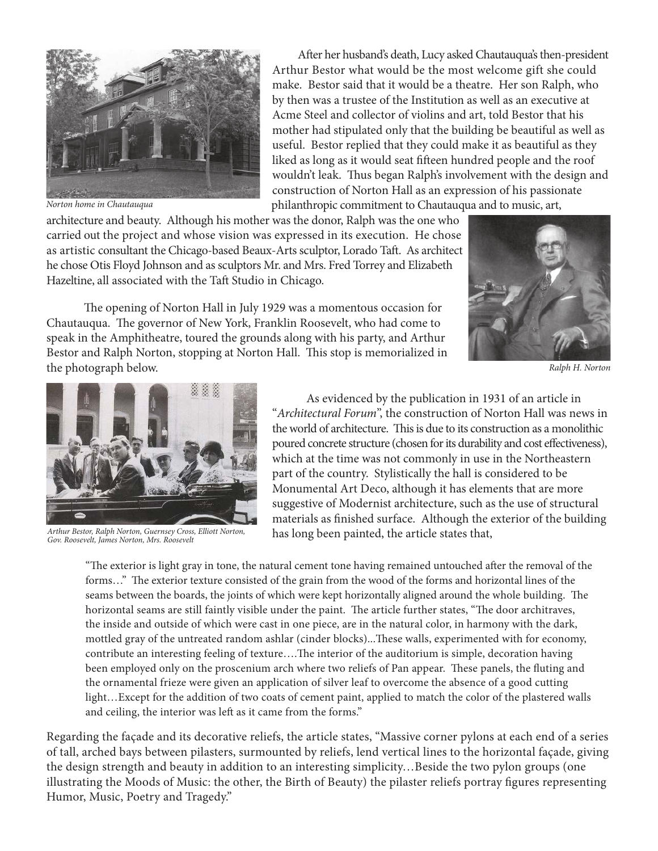

Norton home in Chautauqua

 After her husband's death, Lucy asked Chautauqua's then-president Arthur Bestor what would be the most welcome gift she could make. Bestor said that it would be a theatre. Her son Ralph, who by then was a trustee of the Institution as well as an executive at Acme Steel and collector of violins and art, told Bestor that his mother had stipulated only that the building be beautiful as well as useful. Bestor replied that they could make it as beautiful as they liked as long as it would seat fifteen hundred people and the roof wouldn't leak. Thus began Ralph's involvement with the design and construction of Norton Hall as an expression of his passionate philanthropic commitment to Chautauqua and to music, art,

architecture and beauty. Although his mother was the donor, Ralph was the one who carried out the project and whose vision was expressed in its execution. He chose as artistic consultant the Chicago-based Beaux-Arts sculptor, Lorado Taft. As architect he chose Otis Floyd Johnson and as sculptors Mr. and Mrs. Fred Torrey and Elizabeth Hazeltine, all associated with the Taft Studio in Chicago.

 The opening of Norton Hall in July 1929 was a momentous occasion for Chautauqua. The governor of New York, Franklin Roosevelt, who had come to speak in the Amphitheatre, toured the grounds along with his party, and Arthur Bestor and Ralph Norton, stopping at Norton Hall. This stop is memorialized in the photograph below.



Ralph H. Norton



Arthur Bestor, Ralph Norton, Guernsey Cross, Elliott Norton, Gov. Roosevelt, James Norton, Mrs. Roosevelt

 As evidenced by the publication in 1931 of an article in "Architectural Forum", the construction of Norton Hall was news in the world of architecture. This is due to its construction as a monolithic poured concrete structure (chosen for its durability and cost effectiveness), which at the time was not commonly in use in the Northeastern part of the country. Stylistically the hall is considered to be Monumental Art Deco, although it has elements that are more suggestive of Modernist architecture, such as the use of structural materials as finished surface. Although the exterior of the building has long been painted, the article states that,

"The exterior is light gray in tone, the natural cement tone having remained untouched after the removal of the forms…" The exterior texture consisted of the grain from the wood of the forms and horizontal lines of the seams between the boards, the joints of which were kept horizontally aligned around the whole building. The horizontal seams are still faintly visible under the paint. The article further states, "The door architraves, the inside and outside of which were cast in one piece, are in the natural color, in harmony with the dark, mottled gray of the untreated random ashlar (cinder blocks)...These walls, experimented with for economy, contribute an interesting feeling of texture….The interior of the auditorium is simple, decoration having been employed only on the proscenium arch where two reliefs of Pan appear. These panels, the fluting and the ornamental frieze were given an application of silver leaf to overcome the absence of a good cutting light…Except for the addition of two coats of cement paint, applied to match the color of the plastered walls and ceiling, the interior was left as it came from the forms."

Regarding the façade and its decorative reliefs, the article states, "Massive corner pylons at each end of a series of tall, arched bays between pilasters, surmounted by reliefs, lend vertical lines to the horizontal façade, giving the design strength and beauty in addition to an interesting simplicity…Beside the two pylon groups (one illustrating the Moods of Music: the other, the Birth of Beauty) the pilaster reliefs portray figures representing Humor, Music, Poetry and Tragedy."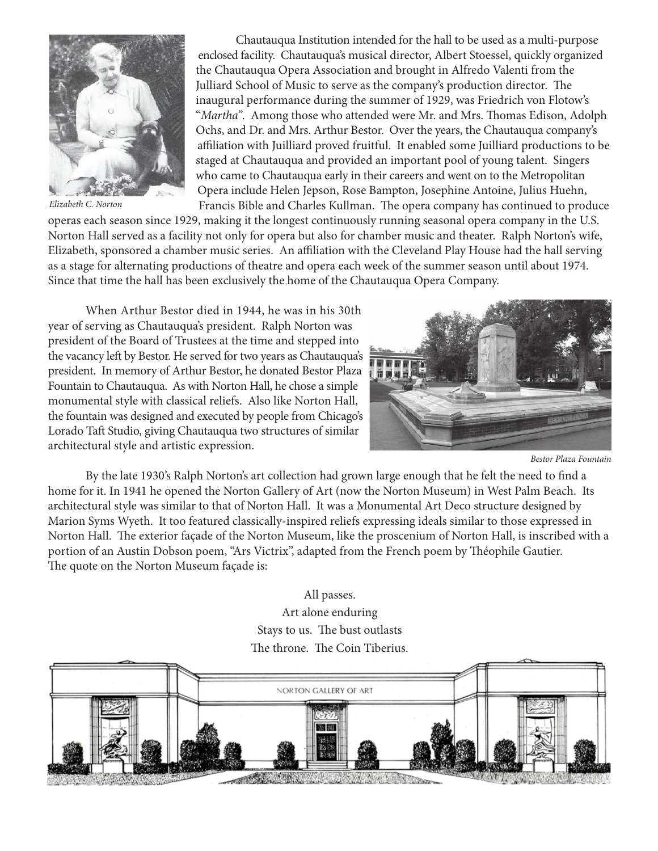

Elizabeth C. Norton

 Chautauqua Institution intended for the hall to be used as a multi-purpose enclosed facility. Chautauqua's musical director, Albert Stoessel, quickly organized the Chautauqua Opera Association and brought in Alfredo Valenti from the Julliard School of Music to serve as the company's production director. The inaugural performance during the summer of 1929, was Friedrich von Flotow's "Martha". Among those who attended were Mr. and Mrs. Thomas Edison, Adolph Ochs, and Dr. and Mrs. Arthur Bestor. Over the years, the Chautauqua company's affiliation with Juilliard proved fruitful. It enabled some Juilliard productions to be staged at Chautauqua and provided an important pool of young talent. Singers who came to Chautauqua early in their careers and went on to the Metropolitan Opera include Helen Jepson, Rose Bampton, Josephine Antoine, Julius Huehn, Francis Bible and Charles Kullman. The opera company has continued to produce

operas each season since 1929, making it the longest continuously running seasonal opera company in the U.S. Norton Hall served as a facility not only for opera but also for chamber music and theater. Ralph Norton's wife, Elizabeth, sponsored a chamber music series. An affiliation with the Cleveland Play House had the hall serving as a stage for alternating productions of theatre and opera each week of the summer season until about 1974. Since that time the hall has been exclusively the home of the Chautauqua Opera Company.

When Arthur Bestor died in 1944, he was in his 30th year of serving as Chautauqua's president. Ralph Norton was president of the Board of Trustees at the time and stepped into the vacancy left by Bestor. He served for two years as Chautauqua's president. In memory of Arthur Bestor, he donated Bestor Plaza Fountain to Chautauqua. As with Norton Hall, he chose a simple monumental style with classical reliefs. Also like Norton Hall, the fountain was designed and executed by people from Chicago's Lorado Taft Studio, giving Chautauqua two structures of similar architectural style and artistic expression.



Bestor Plaza Fountain

 By the late 1930's Ralph Norton's art collection had grown large enough that he felt the need to find a home for it. In 1941 he opened the Norton Gallery of Art (now the Norton Museum) in West Palm Beach. Its architectural style was similar to that of Norton Hall. It was a Monumental Art Deco structure designed by Marion Syms Wyeth. It too featured classically-inspired reliefs expressing ideals similar to those expressed in Norton Hall. The exterior façade of the Norton Museum, like the proscenium of Norton Hall, is inscribed with a portion of an Austin Dobson poem, "Ars Victrix", adapted from the French poem by Théophile Gautier. The quote on the Norton Museum façade is:

## All passes. Art alone enduring Stays to us. The bust outlasts The throne. The Coin Tiberius.